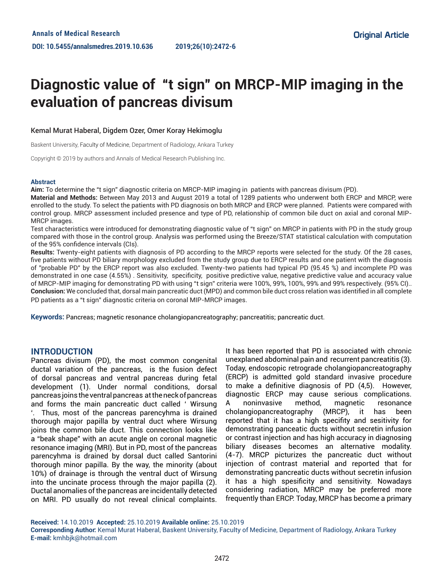# **Diagnostic value of "t sign" on MRCP-MIP imaging in the evaluation of pancreas divisum**

#### Kemal Murat Haberal, Digdem Ozer, Omer Koray Hekimoglu

Baskent University, Faculty of Medicine, Department of Radiology, Ankara Turkey

Copyright © 2019 by authors and Annals of Medical Research Publishing Inc.

#### **Abstract**

**Aim:** To determine the "t sign" diagnostic criteria on MRCP-MIP imaging in patients with pancreas divisum (PD).

**Material and Methods:** Between May 2013 and August 2019 a total of 1289 patients who underwent both ERCP and MRCP, were enrolled to the study. To select the patients with PD diagnosis on both MRCP and ERCP were planned. Patients were compared with control group. MRCP assessment included presence and type of PD, relationship of common bile duct on axial and coronal MIP-MRCP images.

Test characteristics were introduced for demonstrating diagnostic value of "t sign" on MRCP in patients with PD in the study group compared with those in the control group. Analysis was performed using the Breeze/STAT statistical calculation with computation of the 95% confidence intervals (CIs).

**Results:** Twenty-eight patients with diagnosis of PD according to the MRCP reports were selected for the study. Of the 28 cases, five patients without PD biliary morphology excluded from the study group due to ERCP results and one patient with the diagnosis of "probable PD" by the ERCP report was also excluded. Twenty-two patients had typical PD (95.45 %) and incomplete PD was demonstrated in one case (4.55%) . Sensitivity, specificity, positive predictive value, negative predictive value and accuracy value of MRCP-MIP imaging for demonstrating PD with using "t sign" criteria were 100%, 99%, 100%, 99% and 99% respectively. (95% CI).. **Conclusion:** We concluded that, dorsal main pancreatic duct (MPD) and common bile duct cross relation was identified in all complete PD patients as a "t sign" diagnostic criteria on coronal MIP-MRCP images.

**Keywords:** Pancreas; magnetic resonance cholangiopancreatography; pancreatitis; pancreatic duct.

### **INTRODUCTION**

Pancreas divisum (PD), the most common congenital ductal variation of the pancreas, is the fusion defect of dorsal pancreas and ventral pancreas during fetal development (1). Under normal conditions, dorsal pancreas joins the ventral pancreas at the neck of pancreas and forms the main pancreatic duct called ' Wirsung '. Thus, most of the pancreas parencyhma is drained thorough major papilla by ventral duct where Wirsung joins the common bile duct. This connection looks like a "beak shape" with an acute angle on coronal magnetic resonance imaging (MRI). But in PD, most of the pancreas parencyhma is drained by dorsal duct called Santorini thorough minor papilla. By the way, the minority (about 10%) of drainage is through the ventral duct of Wirsung into the uncinate process through the major papilla (2). Ductal anomalies of the pancreas are incidentally detected on MRI. PD usually do not reveal clinical complaints.

It has been reported that PD is associated with chronic unexplaned abdominal pain and recurrent pancreatitis (3). Today, endoscopic retrograde cholangiopancreatography (ERCP) is admitted gold standard invasive procedure to make a definitive diagnosis of PD (4,5). However, diagnostic ERCP may cause serious complications. A noninvasive method, magnetic resonance cholangiopancreatography (MRCP), it has been reported that it has a high specifity and sesitivity for demonstrating panceatic ducts without secretin infusion or contrast injection and has high accuracy in diagnosing biliary diseases becomes an alternative modality. (4-7). MRCP picturizes the pancreatic duct without injection of contrast material and reported that for demonstrating pancreatic ducts without secretin infusion it has a high spesificity and sensitivity. Nowadays considering radiation, MRCP may be preferred more frequently than ERCP. Today, MRCP has become a primary

**Received:** 14.10.2019 **Accepted:** 25.10.2019 **Available online:** 25.10.2019 **Corresponding Author:** Kemal Murat Haberal, Baskent University, Faculty of Medicine, Department of Radiology, Ankara Turkey **E-mail:** kmhbjk@hotmail.com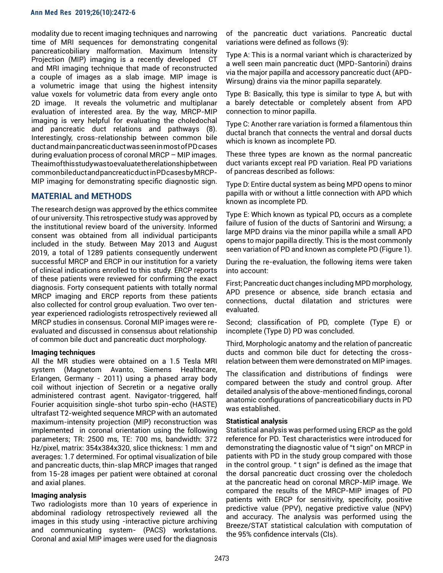modality due to recent imaging techniques and narrowing time of MRI sequences for demonstrating congenital pancreaticobiliary malformation. Maximum Intensity Projection (MIP) imaging is a recently developed CT and MRI imaging technique that made of reconstructed a couple of images as a slab image. MIP image is a volumetric image that using the highest intensity value voxels for volumetric data from every angle onto 2D image. It reveals the volumetric and multiplanar evaluation of interested area. By the way, MRCP-MIP imaging is very helpful for evaluating the choledochal and pancreatic duct relations and pathways (8). Interestingly, cross-relationship between common bile duct and main pancreatic duct was seen in most of PD cases during evaluation process of coronal MRCP – MIP images. The aim of this study was to evaluate the relationship between common bile duct and pancreatic duct in PD cases by MRCP-MIP imaging for demonstrating specific diagnostic sign.

## **MATERIAL and METHODS**

The research design was approved by the ethics commitee of our university. This retrospective study was approved by the institutional review board of the university. Informed consent was obtained from all individual participants included in the study. Between May 2013 and August 2019, a total of 1289 patients consequently underwent successful MRCP and ERCP in our institution for a variety of clinical indications enrolled to this study. ERCP reports of these patients were reviewed for confirming the exact diagnosis. Forty consequent patients with totally normal MRCP imaging and ERCP reports from these patients also collected for control group evaluation. Two over tenyear experienced radiologists retrospectively reviewed all MRCP studies in consensus. Coronal MIP images were reevaluated and discussed in consensus about relationship of common bile duct and pancreatic duct morphology.

### **Imaging techniques**

All the MR studies were obtained on a 1.5 Tesla MRI system (Magnetom Avanto, Siemens Healthcare, Erlangen, Germany - 2011) using a phased array body coil without injection of Secretin or a negative orally administered contrast agent. Navigator-triggered, half Fourier acquisition single-shot turbo spin-echo (HASTE) ultrafast T2-weighted sequence MRCP with an automated maximum-intensity projection (MIP) reconstruction was implemented in coronal orientation using the following parameters; TR: 2500 ms, TE: 700 ms, bandwidth: 372 Hz/pixel, matrix: 354x384x320, slice thickness: 1 mm and averages: 1.7 determined. For optimal visualization of bile and pancreatic ducts, thin-slap MRCP images that ranged from 15-28 images per patient were obtained at coronal and axial planes.

### **Imaging analysis**

Two radiologists more than 10 years of experience in abdominal radiology retrospectively reviewed all the images in this study using -interactive picture archiving and communicating system- (PACS) workstations. Coronal and axial MIP images were used for the diagnosis

of the pancreatic duct variations. Pancreatic ductal variations were defined as follows (9):

Type A: This is a normal variant which is characterized by a well seen main pancreatic duct (MPD-Santorini) drains via the major papilla and accessory pancreatic duct (APD-Wirsung) drains via the minor papilla separately.

Type B: Basically, this type is similar to type A, but with a barely detectable or completely absent from APD connection to minor papilla.

Type C: Another rare variation is formed a filamentous thin ductal branch that connects the ventral and dorsal ducts which is known as incomplete PD.

These three types are known as the normal pancreatic duct variants except real PD variation. Real PD variations of pancreas described as follows:

Type D: Entire ductal system as being MPD opens to minor papilla with or without a little connection with APD which known as incomplete PD.

Type E: Which known as typical PD, occurs as a complete failure of fusion of the ducts of Santorini and Wirsung; a large MPD drains via the minor papilla while a small APD opens to major papilla directly. This is the most commonly seen variation of PD and known as complete PD (Figure 1).

During the re-evaluation, the following items were taken into account:

First; Pancreatic duct changes including MPD morphology, APD presence or absence, side branch ectasia and connections, ductal dilatation and strictures were evaluated.

Second; classification of PD, complete (Type E) or incomplete (Type D) PD was concluded.

Third, Morphologic anatomy and the relation of pancreatic ducts and common bile duct for detecting the crossrelation between them were demonstrated on MIP images.

The classification and distributions of findings were compared between the study and control group. After detailed analysis of the above-mentioned findings, coronal anatomic configurations of pancreaticobiliary ducts in PD was established.

### **Statistical analysis**

Statistical analysis was performed using ERCP as the gold reference for PD. Test characteristics were introduced for demonstrating the diagnostic value of "t sign" on MRCP in patients with PD in the study group compared with those in the control group. " t sign" is defined as the image that the dorsal pancreatic duct crossing over the choledoch at the pancreatic head on coronal MRCP-MIP image. We compared the results of the MRCP-MIP images of PD patients with ERCP for sensitivity, specificity, positive predictive value (PPV), negative predictive value (NPV) and accuracy. The analysis was performed using the Breeze/STAT statistical calculation with computation of the 95% confidence intervals (CIs).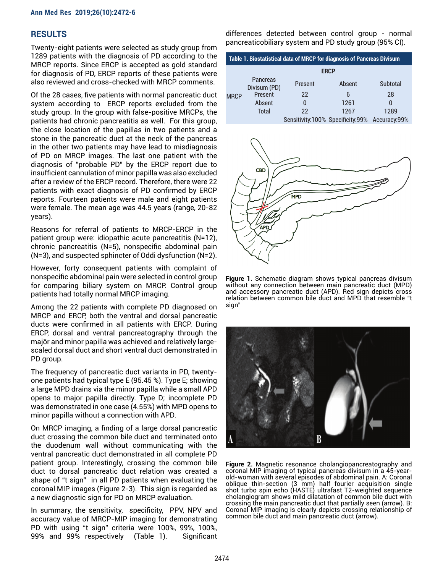## **RESULTS**

Twenty-eight patients were selected as study group from 1289 patients with the diagnosis of PD according to the MRCP reports. Since ERCP is accepted as gold standard for diagnosis of PD, ERCP reports of these patients were also reviewed and cross-checked with MRCP comments.

Of the 28 cases, five patients with normal pancreatic duct system according to ERCP reports excluded from the study group. In the group with false-positive MRCPs, the patients had chronic pancreatitis as well. For this group, the close location of the papillas in two patients and a stone in the pancreatic duct at the neck of the pancreas in the other two patients may have lead to misdiagnosis of PD on MRCP images. The last one patient with the diagnosis of "probable PD" by the ERCP report due to insufficient cannulation of minor papilla was also excluded after a review of the ERCP record. Therefore, there were 22 patients with exact diagnosis of PD confirmed by ERCP reports. Fourteen patients were male and eight patients were female. The mean age was 44.5 years (range, 20-82 years).

Reasons for referral of patients to MRCP-ERCP in the patient group were: idiopathic acute pancreatitis (N=12), chronic pancreatitis (N=5), nonspecific abdominal pain (N=3), and suspected sphincter of Oddi dysfunction (N=2).

However, forty consequent patients with complaint of nonspecific abdominal pain were selected in control group for comparing biliary system on MRCP. Control group patients had totally normal MRCP imaging.

Among the 22 patients with complete PD diagnosed on MRCP and ERCP, both the ventral and dorsal pancreatic ducts were confirmed in all patients with ERCP. During ERCP, dorsal and ventral pancreatography through the majör and minor papilla was achieved and relatively largescaled dorsal duct and short ventral duct demonstrated in PD group.

The frequency of pancreatic duct variants in PD, twentyone patients had typical type E (95.45 %). Type E; showing a large MPD drains via the minor papilla while a small APD opens to major papilla directly. Type D; incomplete PD was demonstrated in one case (4.55%) with MPD opens to minor papilla without a connection with APD.

On MRCP imaging, a finding of a large dorsal pancreatic duct crossing the common bile duct and terminated onto the duodenum wall without communicating with the ventral pancreatic duct demonstrated in all complete PD patient group. Interestingly, crossing the common bile duct to dorsal pancreatic duct relation was created a shape of "t sign" in all PD patients when evaluating the coronal MIP images (Figure 2-3). This sign is regarded as a new diagnostic sign for PD on MRCP evaluation.

In summary, the sensitivity, specificity, PPV, NPV and accuracy value of MRCP-MIP imaging for demonstrating PD with using "t sign" criteria were 100%, 99%, 100%, 99% and 99% respectively (Table 1). Significant differences detected between control group - normal pancreaticobiliary system and PD study group (95% CI).

| Table 1. Biostatistical data of MRCP for diagnosis of Pancreas Divisum |                                 |                                               |        |              |
|------------------------------------------------------------------------|---------------------------------|-----------------------------------------------|--------|--------------|
|                                                                        | <b>ERCP</b>                     |                                               |        |              |
| <b>MRCP</b>                                                            | <b>Pancreas</b><br>Divisum (PD) | <b>Present</b>                                | Absent | Subtotal     |
|                                                                        | Present                         | 22                                            | 6      | 28           |
|                                                                        | Absent                          | O                                             | 1261   | $\mathbf{I}$ |
|                                                                        | <b>Total</b>                    | 22                                            | 1267   | 1289         |
|                                                                        |                                 | Sensitivity:100% Specificity:99% Accuracy:99% |        |              |



**Figure 1.** Schematic diagram shows typical pancreas divisum without any connection between main pancreatic duct (MPD) and accessory pancreatic duct (APD). Red sign depicts cross relation between common bile duct and MPD that resemble "t sign"



**Figure 2.** Magnetic resonance cholangiopancreatography and coronal MIP imaging of typical pancreas divisum in a 45-yearold-woman with several episodes of abdominal pain. A: Coronal oblique thin-section (3 mm) half fourier acquisition single shot turbo spin echo (HASTE) ultrafast T2-weighted sequence cholangiogram shows mild dilatation of common bile duct with crossing the main pancreatic duct that partially seen (arrow). B: Coronal MIP imaging is clearly depicts crossing relationship of common bile duct and main pancreatic duct (arrow).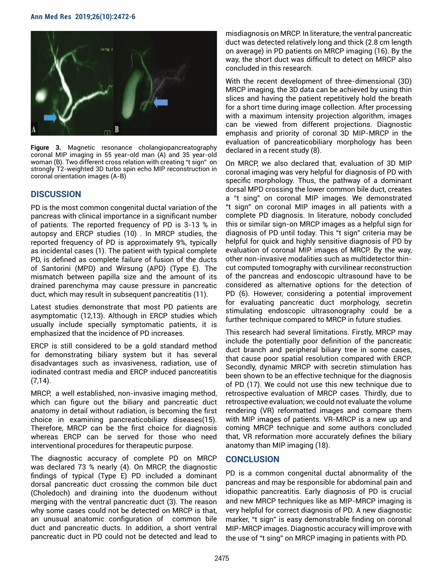

**Figure 3.** Magnetic resonance cholangiopancreatography coronal MIP imaging in 55 year-old man (A) and 35 year-old woman (B). Two different cross relation with creating "t sign" on strongly T2-weighted 3D turbo spin echo MIP reconstruction in coronal orientation images (A-B)

## **DISCUSSION**

PD is the most common congenital ductal variation of the pancreas with clinical importance in a significant number of patients. The reported frequency of PD is 3-13 % in autopsy and ERCP studies (10) . In MRCP studies, the reported frequency of PD is approximately 9%, typically as incidental cases (1). The patient with typical complete PD, is defined as complete failure of fusion of the ducts of Santorini (MPD) and Wirsung (APD) (Type E). The mismatch between papilla size and the amount of its drained parenchyma may cause pressure in pancreatic duct, which may result in subsequent pancreatitis (11).

Latest studies demonstrate that most PD patients are asymptomatic (12,13). Although in ERCP studies which usually include specially symptomatic patients, it is emphasized that the incidence of PD increases.

ERCP is still considered to be a gold standard method for demonstrating biliary system but it has several disadvantages such as invasiveness, radiation, use of iodinated contrast media and ERCP induced pancreatitis  $(7,14)$ .

MRCP, a well established, non-invasive imaging method, which can figure out the biliary and pancreatic duct anatomy in detail without radiation, is becoming the first choice in examining pancreaticobiliary diseases(15). Therefore, MRCP can be the first choice for diagnosis whereas ERCP can be served for those who need interventional procedures for therapeutic purpose.

The diagnostic accuracy of complete PD on MRCP was declared 73 % nearly (4). On MRCP, the diagnostic findings of typical (Type E) PD included a dominant dorsal pancreatic duct crossing the common bile duct (Choledoch) and draining into the duodenum without merging with the ventral pancreatic duct (3). The reason why some cases could not be detected on MRCP is that, an unusual anatomic configuration of common bile duct and pancreatic ducts. In addition, a short ventral pancreatic duct in PD could not be detected and lead to

misdiagnosis on MRCP. In literature, the ventral pancreatic duct was detected relatively long and thick (2.8 cm length on average) in PD patients on MRCP imaging (16). By the way, the short duct was difficult to detect on MRCP also concluded in this research.

With the recent development of three-dimensional (3D) MRCP imaging, the 3D data can be achieved by using thin slices and having the patient repetitively hold the breath for a short time during image collection. After processing with a maximum intensity projection algorithm, images can be viewed from different projections. Diagnostic emphasis and priority of coronal 3D MIP-MRCP in the evaluation of pancreaticobiliary morphology has been declared in a recent study (8).

On MRCP, we also declared that, evaluation of 3D MIP coronal imaging was very helpful for diagnosis of PD with specific morphology. Thus, the pathway of a dominant dorsal MPD crossing the lower common bile duct, creates a "t sing" on coronal MIP images. We demonstrated "t sign" on coronal MIP images in all patients with a complete PD diagnosis. In literature, nobody concluded this or similar sign-on MRCP images as a helpful sign for diagnosis of PD until today. This "t sign" criteria may be helpful for quick and highly sensitive diagnosis of PD by evaluation of coronal MIP images of MRCP. By the way, other non-invasive modalities such as multidetector thincut computed tomography with curvilinear reconstruction of the pancreas and endoscopic ultrasound have to be considered as alternative options for the detection of PD (6). However, considering a potential improvement for evaluating pancreatic duct morphology, secretin stimulating endoscopic ultrasonography could be a further technique compared to MRCP in future studies.

This research had several limitations. Firstly, MRCP may include the potentially poor definition of the pancreatic duct branch and peripheral biliary tree in some cases, that cause poor spatial resolution compared with ERCP. Secondly, dynamic MRCP with secretin stimulation has been shown to be an effective technique for the diagnosis of PD (17). We could not use this new technique due to retrospective evaluation of MRCP cases. Thirdly, due to retrospective evaluation; we could not evaluate the volume rendering (VR) reformatted images and compare them with MIP images of patients. VR-MRCP is a new up and coming MRCP technique and some authors concluded that, VR reformation more accurately defines the biliary anatomy than MIP imaging (18).

### **CONCLUSION**

PD is a common congenital ductal abnormality of the pancreas and may be responsible for abdominal pain and idiopathic pancreatitis. Early diagnosis of PD is crucial and new MRCP techniques like as MIP-MRCP imaging is very helpful for correct diagnosis of PD. A new diagnostic marker, "t sign" is easy demonstrable finding on coronal MIP-MRCP images. Diagnostic accuracy will improve with the use of "t sing" on MRCP imaging in patients with PD.